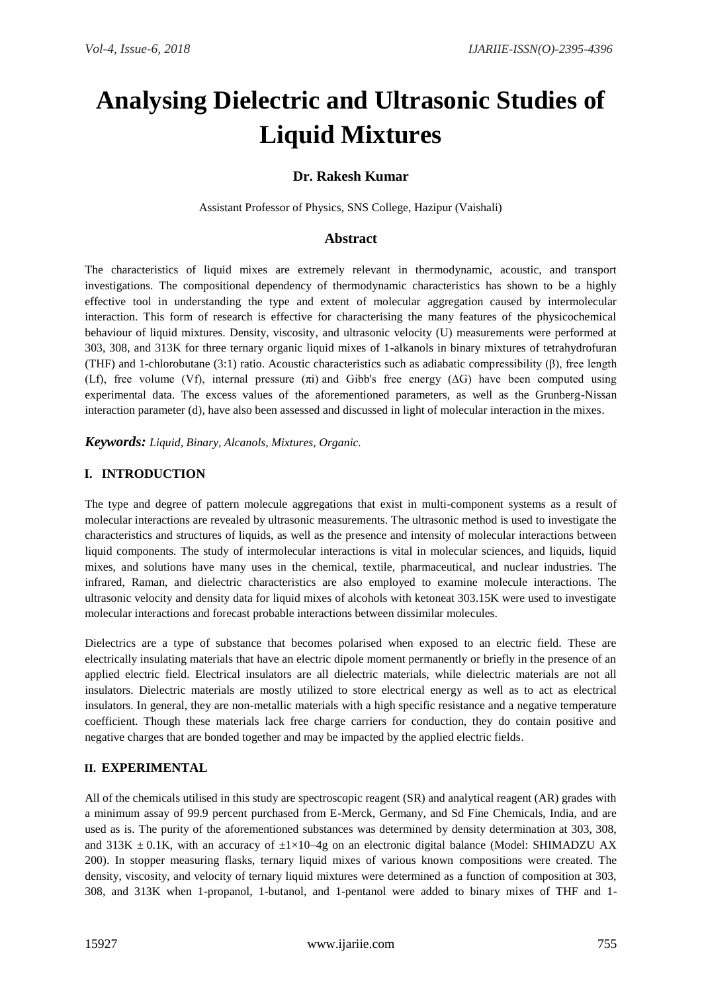# **Analysing Dielectric and Ultrasonic Studies of Liquid Mixtures**

# **Dr. Rakesh Kumar**

Assistant Professor of Physics, SNS College, Hazipur (Vaishali)

## **Abstract**

The characteristics of liquid mixes are extremely relevant in thermodynamic, acoustic, and transport investigations. The compositional dependency of thermodynamic characteristics has shown to be a highly effective tool in understanding the type and extent of molecular aggregation caused by intermolecular interaction. This form of research is effective for characterising the many features of the physicochemical behaviour of liquid mixtures. Density, viscosity, and ultrasonic velocity (U) measurements were performed at 303, 308, and 313K for three ternary organic liquid mixes of 1-alkanols in binary mixtures of tetrahydrofuran (THF) and 1-chlorobutane (3:1) ratio. Acoustic characteristics such as adiabatic compressibility ( $\beta$ ), free length (Lf), free volume (Vf), internal pressure (πi) and Gibb's free energy (∆G) have been computed using experimental data. The excess values of the aforementioned parameters, as well as the Grunberg-Nissan interaction parameter (d), have also been assessed and discussed in light of molecular interaction in the mixes.

*Keywords: Liquid, Binary, Alcanols, Mixtures, Organic.*

## **I. INTRODUCTION**

The type and degree of pattern molecule aggregations that exist in multi-component systems as a result of molecular interactions are revealed by ultrasonic measurements. The ultrasonic method is used to investigate the characteristics and structures of liquids, as well as the presence and intensity of molecular interactions between liquid components. The study of intermolecular interactions is vital in molecular sciences, and liquids, liquid mixes, and solutions have many uses in the chemical, textile, pharmaceutical, and nuclear industries. The infrared, Raman, and dielectric characteristics are also employed to examine molecule interactions. The ultrasonic velocity and density data for liquid mixes of alcohols with ketoneat 303.15K were used to investigate molecular interactions and forecast probable interactions between dissimilar molecules.

Dielectrics are a type of substance that becomes polarised when exposed to an electric field. These are electrically insulating materials that have an electric dipole moment permanently or briefly in the presence of an applied electric field. Electrical insulators are all dielectric materials, while dielectric materials are not all insulators. Dielectric materials are mostly utilized to store electrical energy as well as to act as electrical insulators. In general, they are non-metallic materials with a high specific resistance and a negative temperature coefficient. Though these materials lack free charge carriers for conduction, they do contain positive and negative charges that are bonded together and may be impacted by the applied electric fields.

#### **II. EXPERIMENTAL**

All of the chemicals utilised in this study are spectroscopic reagent (SR) and analytical reagent (AR) grades with a minimum assay of 99.9 percent purchased from E-Merck, Germany, and Sd Fine Chemicals, India, and are used as is. The purity of the aforementioned substances was determined by density determination at 303, 308, and 313K  $\pm$  0.1K, with an accuracy of  $\pm$ 1×10–4g on an electronic digital balance (Model: SHIMADZU AX 200). In stopper measuring flasks, ternary liquid mixes of various known compositions were created. The density, viscosity, and velocity of ternary liquid mixtures were determined as a function of composition at 303, 308, and 313K when 1-propanol, 1-butanol, and 1-pentanol were added to binary mixes of THF and 1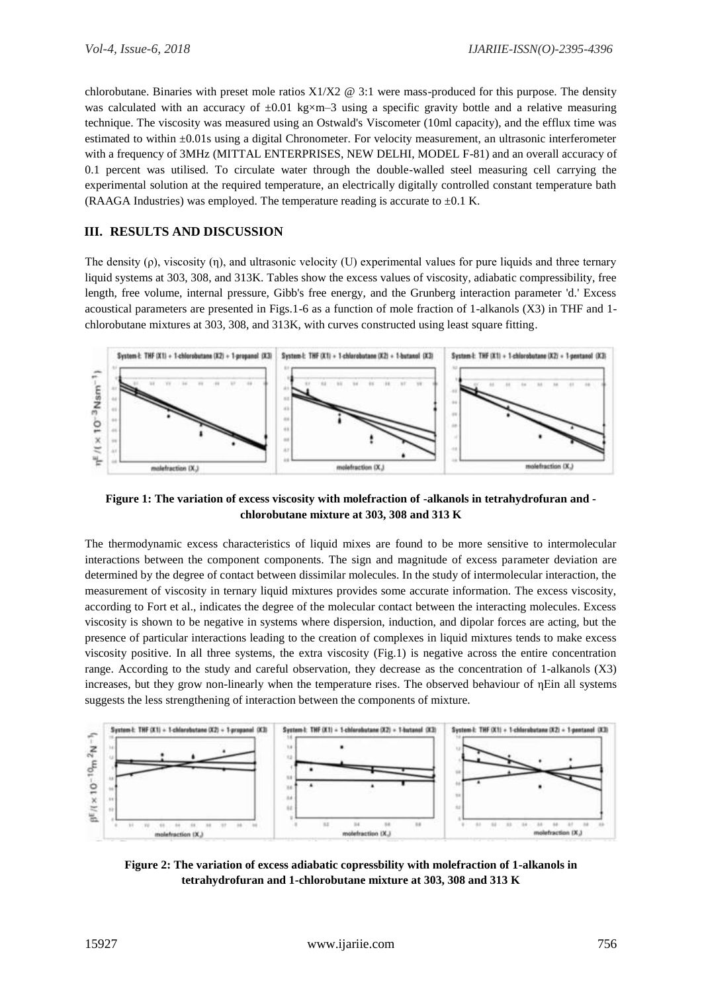chlorobutane. Binaries with preset mole ratios  $X1/X2 \otimes 3:1$  were mass-produced for this purpose. The density was calculated with an accuracy of  $\pm 0.01$  kg×m–3 using a specific gravity bottle and a relative measuring technique. The viscosity was measured using an Ostwald's Viscometer (10ml capacity), and the efflux time was estimated to within ±0.01s using a digital Chronometer. For velocity measurement, an ultrasonic interferometer with a frequency of 3MHz (MITTAL ENTERPRISES, NEW DELHI, MODEL F-81) and an overall accuracy of 0.1 percent was utilised. To circulate water through the double-walled steel measuring cell carrying the experimental solution at the required temperature, an electrically digitally controlled constant temperature bath (RAAGA Industries) was employed. The temperature reading is accurate to  $\pm 0.1$  K.

#### **III. RESULTS AND DISCUSSION**

The density  $(\rho)$ , viscosity  $(\eta)$ , and ultrasonic velocity (U) experimental values for pure liquids and three ternary liquid systems at 303, 308, and 313K. Tables show the excess values of viscosity, adiabatic compressibility, free length, free volume, internal pressure, Gibb's free energy, and the Grunberg interaction parameter 'd.' Excess acoustical parameters are presented in Figs.1-6 as a function of mole fraction of 1-alkanols (X3) in THF and 1 chlorobutane mixtures at 303, 308, and 313K, with curves constructed using least square fitting.



**Figure 1: The variation of excess viscosity with molefraction of -alkanols in tetrahydrofuran and chlorobutane mixture at 303, 308 and 313 K**

The thermodynamic excess characteristics of liquid mixes are found to be more sensitive to intermolecular interactions between the component components. The sign and magnitude of excess parameter deviation are determined by the degree of contact between dissimilar molecules. In the study of intermolecular interaction, the measurement of viscosity in ternary liquid mixtures provides some accurate information. The excess viscosity, according to Fort et al., indicates the degree of the molecular contact between the interacting molecules. Excess viscosity is shown to be negative in systems where dispersion, induction, and dipolar forces are acting, but the presence of particular interactions leading to the creation of complexes in liquid mixtures tends to make excess viscosity positive. In all three systems, the extra viscosity (Fig.1) is negative across the entire concentration range. According to the study and careful observation, they decrease as the concentration of 1-alkanols (X3) increases, but they grow non-linearly when the temperature rises. The observed behaviour of ηEin all systems suggests the less strengthening of interaction between the components of mixture.



**Figure 2: The variation of excess adiabatic copressbility with molefraction of 1-alkanols in tetrahydrofuran and 1-chlorobutane mixture at 303, 308 and 313 K**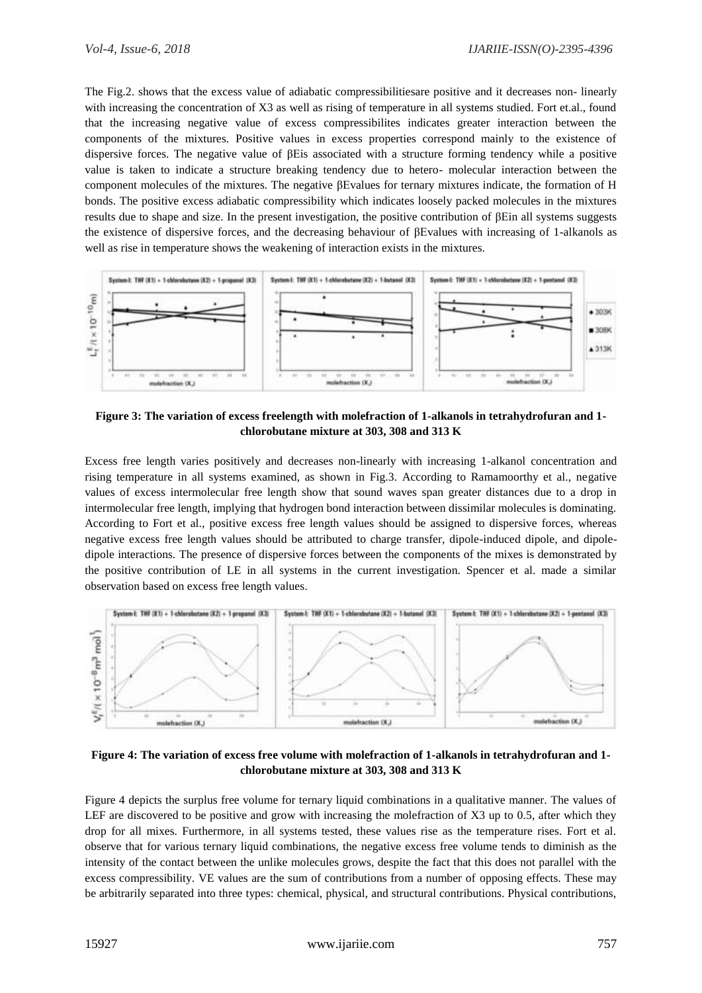The Fig.2. shows that the excess value of adiabatic compressibilitiesare positive and it decreases non- linearly with increasing the concentration of X3 as well as rising of temperature in all systems studied. Fort et.al., found that the increasing negative value of excess compressibilites indicates greater interaction between the components of the mixtures. Positive values in excess properties correspond mainly to the existence of dispersive forces. The negative value of βEis associated with a structure forming tendency while a positive value is taken to indicate a structure breaking tendency due to hetero- molecular interaction between the component molecules of the mixtures. The negative βEvalues for ternary mixtures indicate, the formation of H bonds. The positive excess adiabatic compressibility which indicates loosely packed molecules in the mixtures results due to shape and size. In the present investigation, the positive contribution of βEin all systems suggests the existence of dispersive forces, and the decreasing behaviour of βEvalues with increasing of 1-alkanols as well as rise in temperature shows the weakening of interaction exists in the mixtures.



**Figure 3: The variation of excess freelength with molefraction of 1-alkanols in tetrahydrofuran and 1 chlorobutane mixture at 303, 308 and 313 K**

Excess free length varies positively and decreases non-linearly with increasing 1-alkanol concentration and rising temperature in all systems examined, as shown in Fig.3. According to Ramamoorthy et al., negative values of excess intermolecular free length show that sound waves span greater distances due to a drop in intermolecular free length, implying that hydrogen bond interaction between dissimilar molecules is dominating. According to Fort et al., positive excess free length values should be assigned to dispersive forces, whereas negative excess free length values should be attributed to charge transfer, dipole-induced dipole, and dipoledipole interactions. The presence of dispersive forces between the components of the mixes is demonstrated by the positive contribution of LE in all systems in the current investigation. Spencer et al. made a similar observation based on excess free length values.



**Figure 4: The variation of excess free volume with molefraction of 1-alkanols in tetrahydrofuran and 1 chlorobutane mixture at 303, 308 and 313 K**

Figure 4 depicts the surplus free volume for ternary liquid combinations in a qualitative manner. The values of LEF are discovered to be positive and grow with increasing the molefraction of X3 up to 0.5, after which they drop for all mixes. Furthermore, in all systems tested, these values rise as the temperature rises. Fort et al. observe that for various ternary liquid combinations, the negative excess free volume tends to diminish as the intensity of the contact between the unlike molecules grows, despite the fact that this does not parallel with the excess compressibility. VE values are the sum of contributions from a number of opposing effects. These may be arbitrarily separated into three types: chemical, physical, and structural contributions. Physical contributions,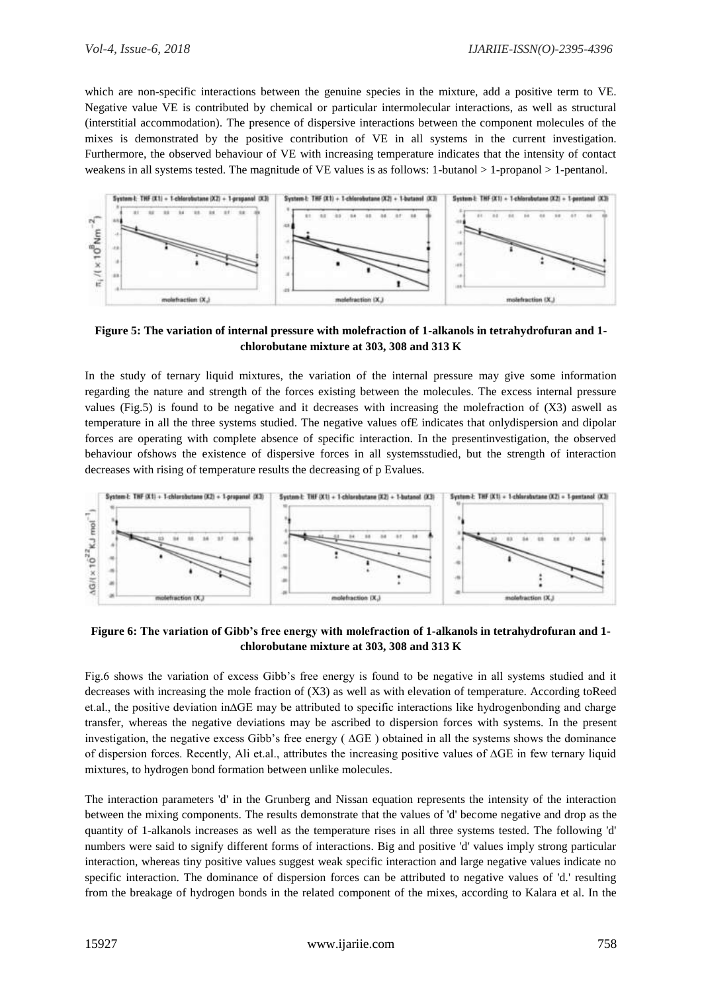which are non-specific interactions between the genuine species in the mixture, add a positive term to VE. Negative value VE is contributed by chemical or particular intermolecular interactions, as well as structural (interstitial accommodation). The presence of dispersive interactions between the component molecules of the mixes is demonstrated by the positive contribution of VE in all systems in the current investigation. Furthermore, the observed behaviour of VE with increasing temperature indicates that the intensity of contact weakens in all systems tested. The magnitude of VE values is as follows: 1-butanol > 1-propanol > 1-pentanol.



**Figure 5: The variation of internal pressure with molefraction of 1-alkanols in tetrahydrofuran and 1 chlorobutane mixture at 303, 308 and 313 K**

In the study of ternary liquid mixtures, the variation of the internal pressure may give some information regarding the nature and strength of the forces existing between the molecules. The excess internal pressure values (Fig.5) is found to be negative and it decreases with increasing the molefraction of (X3) aswell as temperature in all the three systems studied. The negative values ofE indicates that onlydispersion and dipolar forces are operating with complete absence of specific interaction. In the presentinvestigation, the observed behaviour ofshows the existence of dispersive forces in all systemsstudied, but the strength of interaction decreases with rising of temperature results the decreasing of p Evalues.



**Figure 6: The variation of Gibb's free energy with molefraction of 1-alkanols in tetrahydrofuran and 1 chlorobutane mixture at 303, 308 and 313 K**

Fig.6 shows the variation of excess Gibb's free energy is found to be negative in all systems studied and it decreases with increasing the mole fraction of (X3) as well as with elevation of temperature. According toReed et.al., the positive deviation in∆GE may be attributed to specific interactions like hydrogenbonding and charge transfer, whereas the negative deviations may be ascribed to dispersion forces with systems. In the present investigation, the negative excess Gibb's free energy ( ∆GE ) obtained in all the systems shows the dominance of dispersion forces. Recently, Ali et.al., attributes the increasing positive values of ∆GE in few ternary liquid mixtures, to hydrogen bond formation between unlike molecules.

The interaction parameters 'd' in the Grunberg and Nissan equation represents the intensity of the interaction between the mixing components. The results demonstrate that the values of 'd' become negative and drop as the quantity of 1-alkanols increases as well as the temperature rises in all three systems tested. The following 'd' numbers were said to signify different forms of interactions. Big and positive 'd' values imply strong particular interaction, whereas tiny positive values suggest weak specific interaction and large negative values indicate no specific interaction. The dominance of dispersion forces can be attributed to negative values of 'd.' resulting from the breakage of hydrogen bonds in the related component of the mixes, according to Kalara et al. In the